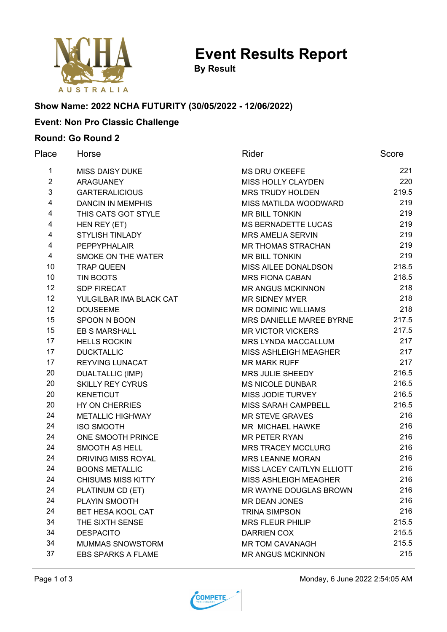

**By Result**

# **Show Name: 2022 NCHA FUTURITY (30/05/2022 - 12/06/2022)**

## **Event: Non Pro Classic Challenge**

### **Round: Go Round 2**

| Place          | Horse                     | Rider                      | Score |
|----------------|---------------------------|----------------------------|-------|
| 1              | <b>MISS DAISY DUKE</b>    | <b>MS DRU O'KEEFE</b>      | 221   |
| $\overline{2}$ | <b>ARAGUANEY</b>          | MISS HOLLY CLAYDEN         | 220   |
| 3              | <b>GARTERALICIOUS</b>     | <b>MRS TRUDY HOLDEN</b>    | 219.5 |
| 4              | <b>DANCIN IN MEMPHIS</b>  | MISS MATILDA WOODWARD      | 219   |
| 4              | THIS CATS GOT STYLE       | MR BILL TONKIN             | 219   |
| 4              | HEN REY (ET)              | MS BERNADETTE LUCAS        | 219   |
| 4              | <b>STYLISH TINLADY</b>    | <b>MRS AMELIA SERVIN</b>   | 219   |
| 4              | <b>PEPPYPHALAIR</b>       | <b>MR THOMAS STRACHAN</b>  | 219   |
| 4              | SMOKE ON THE WATER        | <b>MR BILL TONKIN</b>      | 219   |
| 10             | <b>TRAP QUEEN</b>         | MISS AILEE DONALDSON       | 218.5 |
| 10             | <b>TIN BOOTS</b>          | <b>MRS FIONA CABAN</b>     | 218.5 |
| 12             | <b>SDP FIRECAT</b>        | <b>MR ANGUS MCKINNON</b>   | 218   |
| 12             | YULGILBAR IMA BLACK CAT   | <b>MR SIDNEY MYER</b>      | 218   |
| 12             | <b>DOUSEEME</b>           | MR DOMINIC WILLIAMS        | 218   |
| 15             | SPOON N BOON              | MRS DANIELLE MAREE BYRNE   | 217.5 |
| 15             | <b>EB S MARSHALL</b>      | <b>MR VICTOR VICKERS</b>   | 217.5 |
| 17             | <b>HELLS ROCKIN</b>       | MRS LYNDA MACCALLUM        | 217   |
| 17             | <b>DUCKTALLIC</b>         | MISS ASHLEIGH MEAGHER      | 217   |
| 17             | REYVING LUNACAT           | <b>MR MARK RUFF</b>        | 217   |
| 20             | <b>DUALTALLIC (IMP)</b>   | MRS JULIE SHEEDY           | 216.5 |
| 20             | <b>SKILLY REY CYRUS</b>   | <b>MS NICOLE DUNBAR</b>    | 216.5 |
| 20             | <b>KENETICUT</b>          | MISS JODIE TURVEY          | 216.5 |
| 20             | HY ON CHERRIES            | MISS SARAH CAMPBELL        | 216.5 |
| 24             | <b>METALLIC HIGHWAY</b>   | <b>MR STEVE GRAVES</b>     | 216   |
| 24             | <b>ISO SMOOTH</b>         | MR MICHAEL HAWKE           | 216   |
| 24             | ONE SMOOTH PRINCE         | <b>MR PETER RYAN</b>       | 216   |
| 24             | SMOOTH AS HELL            | <b>MRS TRACEY MCCLURG</b>  | 216   |
| 24             | DRIVING MISS ROYAL        | <b>MRS LEANNE MORAN</b>    | 216   |
| 24             | <b>BOONS METALLIC</b>     | MISS LACEY CAITLYN ELLIOTT | 216   |
| 24             | <b>CHISUMS MISS KITTY</b> | MISS ASHLEIGH MEAGHER      | 216   |
| 24             | PLATINUM CD (ET)          | MR WAYNE DOUGLAS BROWN     | 216   |
| 24             | PLAYIN SMOOTH             | <b>MR DEAN JONES</b>       | 216   |
| 24             | BET HESA KOOL CAT         | <b>TRINA SIMPSON</b>       | 216   |
| 34             | THE SIXTH SENSE           | <b>MRS FLEUR PHILIP</b>    | 215.5 |
| 34             | <b>DESPACITO</b>          | <b>DARRIEN COX</b>         | 215.5 |
| 34             | <b>MUMMAS SNOWSTORM</b>   | <b>MR TOM CAVANAGH</b>     | 215.5 |
| 37             | <b>EBS SPARKS A FLAME</b> | <b>MR ANGUS MCKINNON</b>   | 215   |



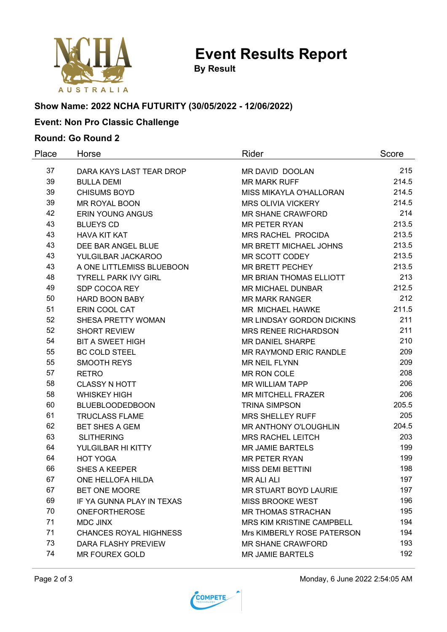

**Event Results Report**

**By Result**

# **Show Name: 2022 NCHA FUTURITY (30/05/2022 - 12/06/2022)**

## **Event: Non Pro Classic Challenge**

#### **Round: Go Round 2**

| Place | Horse                         | Rider                            | Score |
|-------|-------------------------------|----------------------------------|-------|
| 37    | DARA KAYS LAST TEAR DROP      | <b>MR DAVID DOOLAN</b>           | 215   |
| 39    | <b>BULLA DEMI</b>             | <b>MR MARK RUFF</b>              | 214.5 |
| 39    | <b>CHISUMS BOYD</b>           | MISS MIKAYLA O'HALLORAN          | 214.5 |
| 39    | MR ROYAL BOON                 | <b>MRS OLIVIA VICKERY</b>        | 214.5 |
| 42    | <b>ERIN YOUNG ANGUS</b>       | <b>MR SHANE CRAWFORD</b>         | 214   |
| 43    | <b>BLUEYS CD</b>              | <b>MR PETER RYAN</b>             | 213.5 |
| 43    | <b>HAVA KIT KAT</b>           | <b>MRS RACHEL PROCIDA</b>        | 213.5 |
| 43    | DEE BAR ANGEL BLUE            | MR BRETT MICHAEL JOHNS           | 213.5 |
| 43    | YULGILBAR JACKAROO            | MR SCOTT CODEY                   | 213.5 |
| 43    | A ONE LITTLEMISS BLUEBOON     | MR BRETT PECHEY                  | 213.5 |
| 48    | <b>TYRELL PARK IVY GIRL</b>   | MR BRIAN THOMAS ELLIOTT          | 213   |
| 49    | SDP COCOA REY                 | <b>MR MICHAEL DUNBAR</b>         | 212.5 |
| 50    | <b>HARD BOON BABY</b>         | <b>MR MARK RANGER</b>            | 212   |
| 51    | ERIN COOL CAT                 | MR MICHAEL HAWKE                 | 211.5 |
| 52    | SHESA PRETTY WOMAN            | MR LINDSAY GORDON DICKINS        | 211   |
| 52    | <b>SHORT REVIEW</b>           | <b>MRS RENEE RICHARDSON</b>      | 211   |
| 54    | <b>BIT A SWEET HIGH</b>       | <b>MR DANIEL SHARPE</b>          | 210   |
| 55    | <b>BC COLD STEEL</b>          | <b>MR RAYMOND ERIC RANDLE</b>    | 209   |
| 55    | <b>SMOOTH REYS</b>            | <b>MR NEIL FLYNN</b>             | 209   |
| 57    | <b>RETRO</b>                  | MR RON COLE                      | 208   |
| 58    | <b>CLASSY N HOTT</b>          | <b>MR WILLIAM TAPP</b>           | 206   |
| 58    | <b>WHISKEY HIGH</b>           | <b>MR MITCHELL FRAZER</b>        | 206   |
| 60    | <b>BLUEBLOODEDBOON</b>        | <b>TRINA SIMPSON</b>             | 205.5 |
| 61    | <b>TRUCLASS FLAME</b>         | <b>MRS SHELLEY RUFF</b>          | 205   |
| 62    | <b>BET SHES A GEM</b>         | MR ANTHONY O'LOUGHLIN            | 204.5 |
| 63    | <b>SLITHERING</b>             | <b>MRS RACHEL LEITCH</b>         | 203   |
| 64    | YULGILBAR HI KITTY            | <b>MR JAMIE BARTELS</b>          | 199   |
| 64    | <b>HOT YOGA</b>               | <b>MR PETER RYAN</b>             | 199   |
| 66    | <b>SHES A KEEPER</b>          | <b>MISS DEMI BETTINI</b>         | 198   |
| 67    | ONE HELLOFA HILDA             | <b>MR ALI ALI</b>                | 197   |
| 67    | <b>BET ONE MOORE</b>          | MR STUART BOYD LAURIE            | 197   |
| 69    | IF YA GUNNA PLAY IN TEXAS     | <b>MISS BROOKE WEST</b>          | 196   |
| 70    | <b>ONEFORTHEROSE</b>          | <b>MR THOMAS STRACHAN</b>        | 195   |
| 71    | <b>MDC JINX</b>               | <b>MRS KIM KRISTINE CAMPBELL</b> | 194   |
| 71    | <b>CHANCES ROYAL HIGHNESS</b> | Mrs KIMBERLY ROSE PATERSON       | 194   |
| 73    | DARA FLASHY PREVIEW           | <b>MR SHANE CRAWFORD</b>         | 193   |
| 74    | <b>MR FOUREX GOLD</b>         | <b>MR JAMIE BARTELS</b>          | 192   |